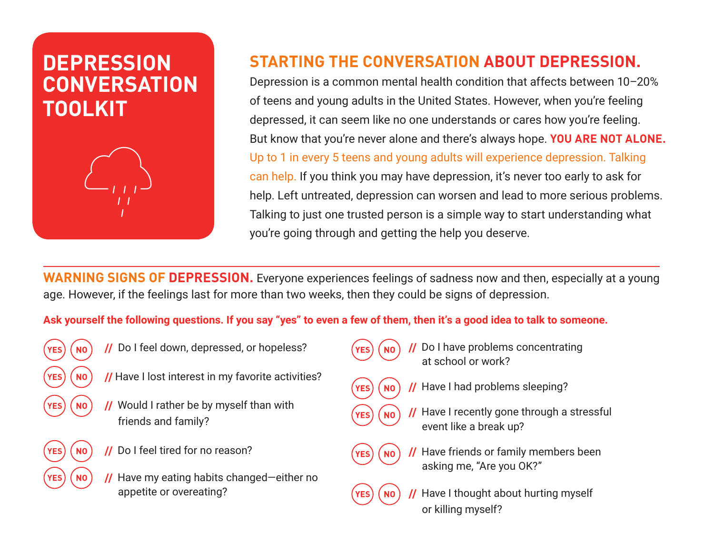## **DEPRESSION CONVERSATION TOOLKIT**



## **STARTING THE CONVERSATION ABOUT DEPRESSION.**

Depression is a common mental health condition that affects between 10–20% of teens and young adults in the United States. However, when you're feeling depressed, it can seem like no one understands or cares how you're feeling. But know that you're never alone and there's always hope. **YOU ARE NOT ALONE.**  Up to 1 in every 5 teens and young adults will experience depression. Talking can help. If you think you may have depression, it's never too early to ask for help. Left untreated, depression can worsen and lead to more serious problems. Talking to just one trusted person is a simple way to start understanding what you're going through and getting the help you deserve.

**WARNING SIGNS OF DEPRESSION.** Everyone experiences feelings of sadness now and then, especially at a young age. However, if the feelings last for more than two weeks, then they could be signs of depression.

**Ask yourself the following questions. If you say "yes" to even a few of them, then it's a good idea to talk to someone.**

- 
- $\mathbf{Y_{ES}}$  ( $\mathbf{N_0}$ ) // Do I feel down, depressed, or hopeless?
	- **NO**) // Have I lost interest in my favorite activities?
	- **//** Would I rather be by myself than with friends and family?
	- **//** Do I feel tired for no reason?
	- **//** Have my eating habits changed—either no appetite or overeating?
- - **//** Do I have problems concentrating at school or work?
- **YES NO**  $NO$ **YES**
- **//** Have I had problems sleeping?
- **//** Have I recently gone through a stressful event like a break up?



- **//** Have friends or family members been asking me, "Are you OK?"
- 
- **Have I thought about hurting myself** or killing myself?